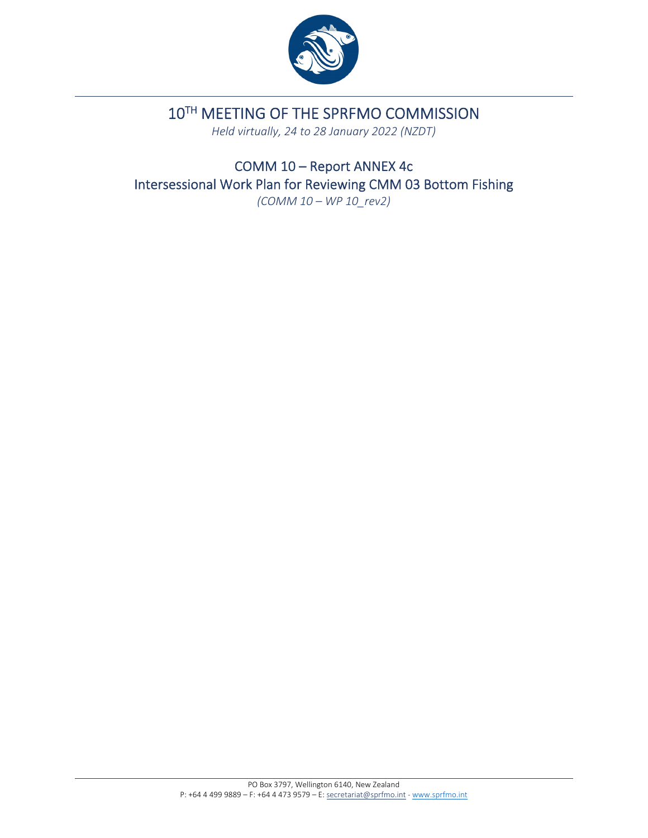

# 10TH MEETING OF THE SPRFMO COMMISSION

*Held virtually, 24 to 28 January 2022 (NZDT)*

COMM 10 – Report ANNEX 4c Intersessional Work Plan for Reviewing CMM 03 Bottom Fishing *(COMM 10 – WP 10\_rev2)*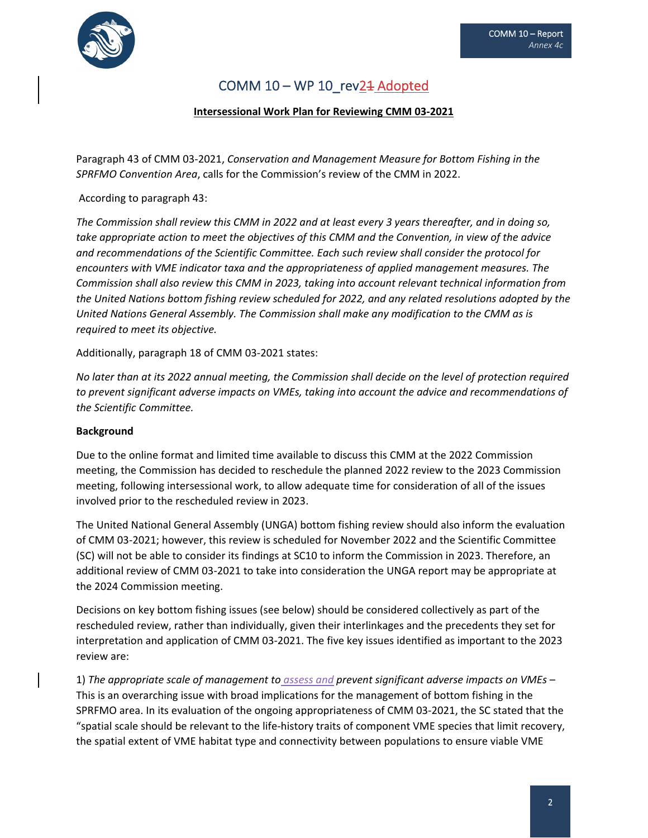

## COMM  $10 - WP 10_rev24$  Adopted

#### **Intersessional Work Plan for Reviewing CMM 03‐2021**

Paragraph 43 of CMM 03‐2021, *Conservation and Management Measure for Bottom Fishing in the SPRFMO Convention Area*, calls for the Commission's review of the CMM in 2022.

According to paragraph 43:

The Commission shall review this CMM in 2022 and at least every 3 years thereafter, and in doing so, take appropriate action to meet the objectives of this CMM and the Convention, in view of the advice *and recommendations of the Scientific Committee. Each such review shall consider the protocol for encounters with VME indicator taxa and the appropriateness of applied management measures. The Commission shall also review this CMM in 2023, taking into account relevant technical information from the United Nations bottom fishing review scheduled for 2022, and any related resolutions adopted by the United Nations General Assembly. The Commission shall make any modification to the CMM as is required to meet its objective.*

Additionally, paragraph 18 of CMM 03‐2021 states:

No later than at its 2022 annual meeting, the Commission shall decide on the level of protection required *to prevent significant adverse impacts on VMEs, taking into account the advice and recommendations of the Scientific Committee.*

#### **Background**

Due to the online format and limited time available to discuss this CMM at the 2022 Commission meeting, the Commission has decided to reschedule the planned 2022 review to the 2023 Commission meeting, following intersessional work, to allow adequate time for consideration of all of the issues involved prior to the rescheduled review in 2023.

The United National General Assembly (UNGA) bottom fishing review should also inform the evaluation of CMM 03‐2021; however, this review is scheduled for November 2022 and the Scientific Committee (SC) will not be able to consider its findings at SC10 to inform the Commission in 2023. Therefore, an additional review of CMM 03‐2021 to take into consideration the UNGA report may be appropriate at the 2024 Commission meeting.

Decisions on key bottom fishing issues (see below) should be considered collectively as part of the rescheduled review, rather than individually, given their interlinkages and the precedents they set for interpretation and application of CMM 03‐2021. The five key issues identified as important to the 2023 review are:

1) *The appropriate scale of management to assess and prevent significant adverse impacts on VMEs* – This is an overarching issue with broad implications for the management of bottom fishing in the SPRFMO area. In its evaluation of the ongoing appropriateness of CMM 03‐2021, the SC stated that the "spatial scale should be relevant to the life‐history traits of component VME species that limit recovery, the spatial extent of VME habitat type and connectivity between populations to ensure viable VME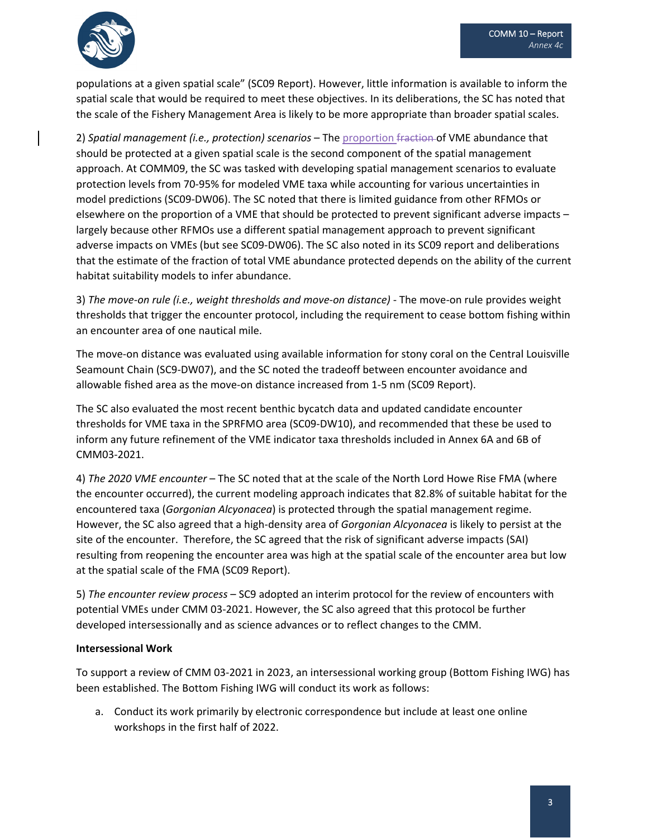

populations at a given spatial scale" (SC09 Report). However, little information is available to inform the spatial scale that would be required to meet these objectives. In its deliberations, the SC has noted that the scale of the Fishery Management Area is likely to be more appropriate than broader spatial scales.

2) *Spatial management (i.e., protection) scenarios* – The proportion fraction of VME abundance that should be protected at a given spatial scale is the second component of the spatial management approach. At COMM09, the SC was tasked with developing spatial management scenarios to evaluate protection levels from 70‐95% for modeled VME taxa while accounting for various uncertainties in model predictions (SC09‐DW06). The SC noted that there is limited guidance from other RFMOs or elsewhere on the proportion of a VME that should be protected to prevent significant adverse impacts – largely because other RFMOs use a different spatial management approach to prevent significant adverse impacts on VMEs (but see SC09‐DW06). The SC also noted in its SC09 report and deliberations that the estimate of the fraction of total VME abundance protected depends on the ability of the current habitat suitability models to infer abundance.

3) *The move‐on rule (i.e., weight thresholds and move‐on distance)* ‐ The move‐on rule provides weight thresholds that trigger the encounter protocol, including the requirement to cease bottom fishing within an encounter area of one nautical mile.

The move-on distance was evaluated using available information for stony coral on the Central Louisville Seamount Chain (SC9‐DW07), and the SC noted the tradeoff between encounter avoidance and allowable fished area as the move‐on distance increased from 1‐5 nm (SC09 Report).

The SC also evaluated the most recent benthic bycatch data and updated candidate encounter thresholds for VME taxa in the SPRFMO area (SC09‐DW10), and recommended that these be used to inform any future refinement of the VME indicator taxa thresholds included in Annex 6A and 6B of CMM03‐2021.

4) *The 2020 VME encounter* – The SC noted that at the scale of the North Lord Howe Rise FMA (where the encounter occurred), the current modeling approach indicates that 82.8% of suitable habitat for the encountered taxa (*Gorgonian Alcyonacea*) is protected through the spatial management regime. However, the SC also agreed that a high‐density area of *Gorgonian Alcyonacea* is likely to persist at the site of the encounter. Therefore, the SC agreed that the risk of significant adverse impacts (SAI) resulting from reopening the encounter area was high at the spatial scale of the encounter area but low at the spatial scale of the FMA (SC09 Report).

5) *The encounter review process* – SC9 adopted an interim protocol for the review of encounters with potential VMEs under CMM 03‐2021. However, the SC also agreed that this protocol be further developed intersessionally and as science advances or to reflect changes to the CMM.

### **Intersessional Work**

To support a review of CMM 03‐2021 in 2023, an intersessional working group (Bottom Fishing IWG) has been established. The Bottom Fishing IWG will conduct its work as follows:

a. Conduct its work primarily by electronic correspondence but include at least one online workshops in the first half of 2022.